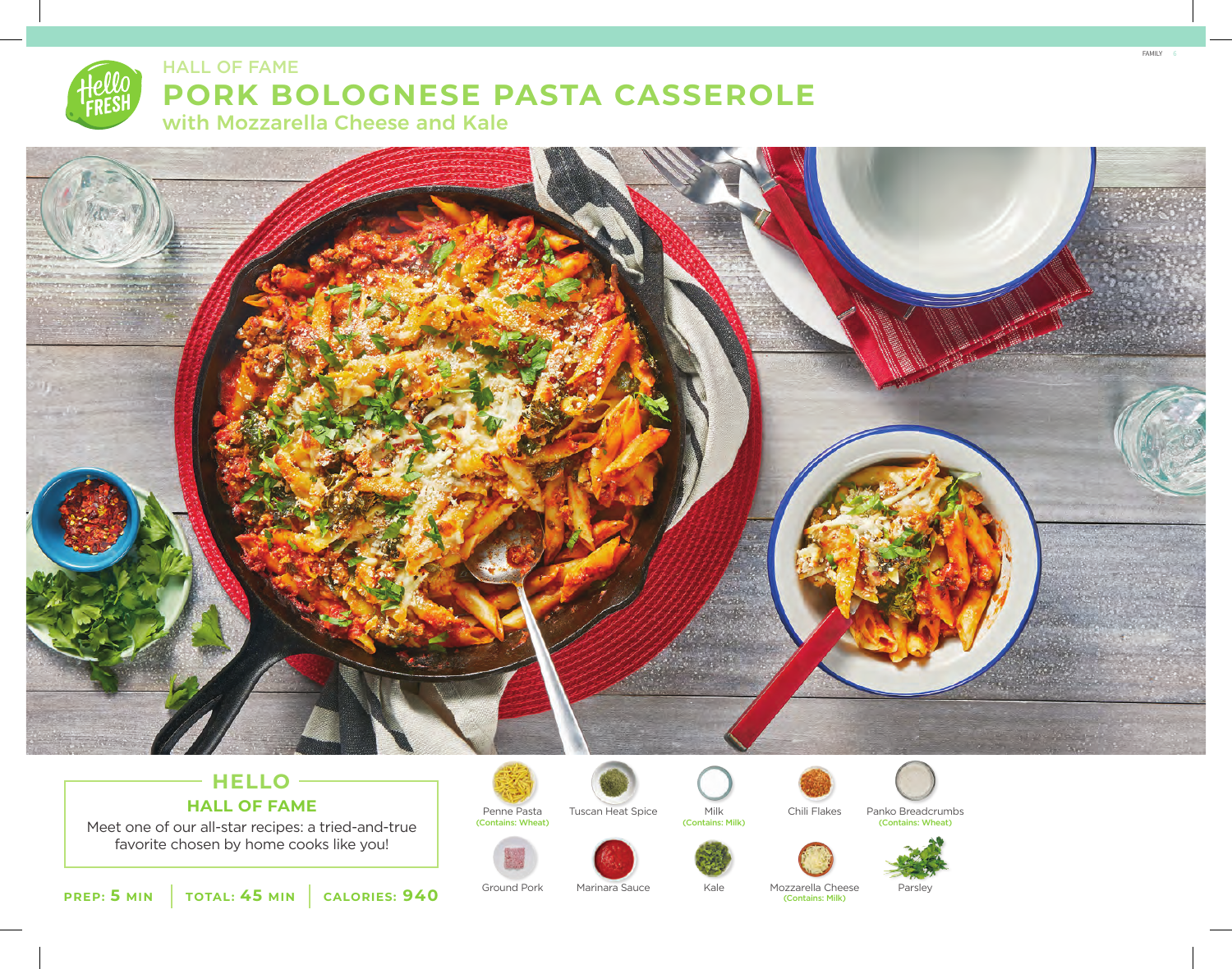

# **PORK BOLOGNESE PASTA CASSEROLE**

with Mozzarella Cheese and Kale



# - HELLO -**HALL OF FAME**

Meet one of our all-star recipes: a tried-and-true favorite chosen by home cooks like you!



















**PREP: 5 MIN TOTAL: 45 MIN CALORIES: 940**

Ground Pork Marinara Sauce Kale Mozzarella Cheese Parsley (Contains: Milk)